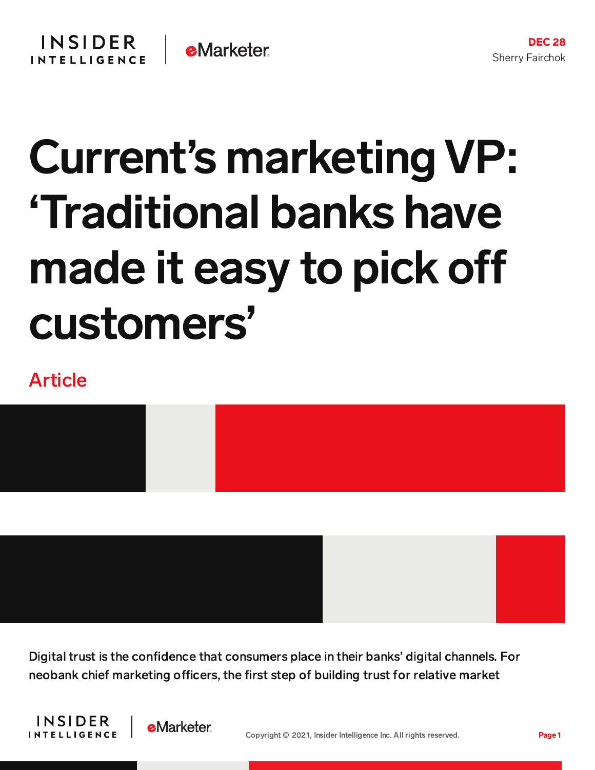# Current's marketing VP: 'Traditional banks have made it easy to pick o customers'

## Article

Digital trust is the confidence that consumers place in their banks' digital channels. For neobank chief marketing officers, the first step of building trust for relative market



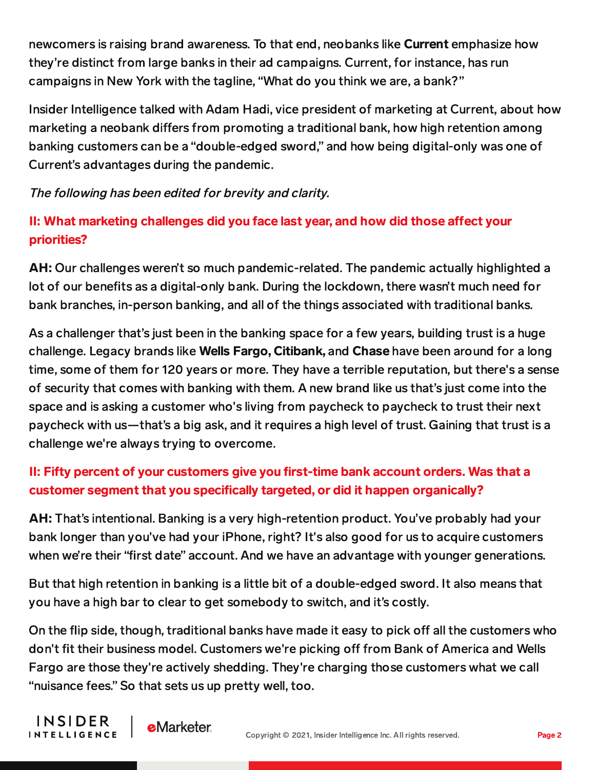newcomers is raising brand awareness. To that end, neobanks like **Current** emphasize how they're distinct from large banks in their ad campaigns. Current, for instance, has run campaigns in New York with the tagline, "What do you think we are, a bank?"

Insider Intelligence talked with Adam Hadi, vice president of marketing at Current, about how marketing a neobank differs from promoting a traditional bank, how high retention among banking customers can be a "double-edged sword," and how being digital-only was one of Current's advantages during the pandemic.

The following has been edited for brevity and clarity.

### II: What marketing challenges did you face last year, and how did those affect your priorities?

AH: Our challenges weren't so much pandemic-related. The pandemic actually highlighted a lot of our benefits as a digital-only bank. During the lockdown, there wasn't much need for bank branches, in-person banking, and all of the things associated with traditional banks.

As a challenger that's just been in the banking space for a few years, building trust is a huge challenge. Legacy brands like Wells Fargo, Citibank, and Chase have been around for a long time, some of them for 120 years or more. They have a terrible reputation, but there's a sense of security that comes with banking with them. A new brand like us that's just come into the space and is asking a customer who's living from paycheck to paycheck to trust their next paycheck with us—that's a big ask, and it requires a high level of trust. Gaining that trust is a challenge we're always trying to overcome.

#### II: Fifty percent of your customers give you first-time bank account orders. Was that a customer segment that you specifically targeted, or did it happen organically?

AH: That's intentional. Banking is a very high-retention product. You've probably had your bank longer than you've had your iPhone, right? It's also good for us to acquire customers when we're their "first date" account. And we have an advantage with younger generations.

But that high retention in banking is a little bit of a double-edged sword. It also means that you have a high bar to clear to get somebody to switch, and it's costly.

On the flip side, though, traditional banks have made it easy to pick off all the customers who don't fit their business model. Customers we're picking off from Bank of America and Wells Fargo are those they're actively shedding. They're charging those customers what we call "nuisance fees." So that sets us up pretty well, too.